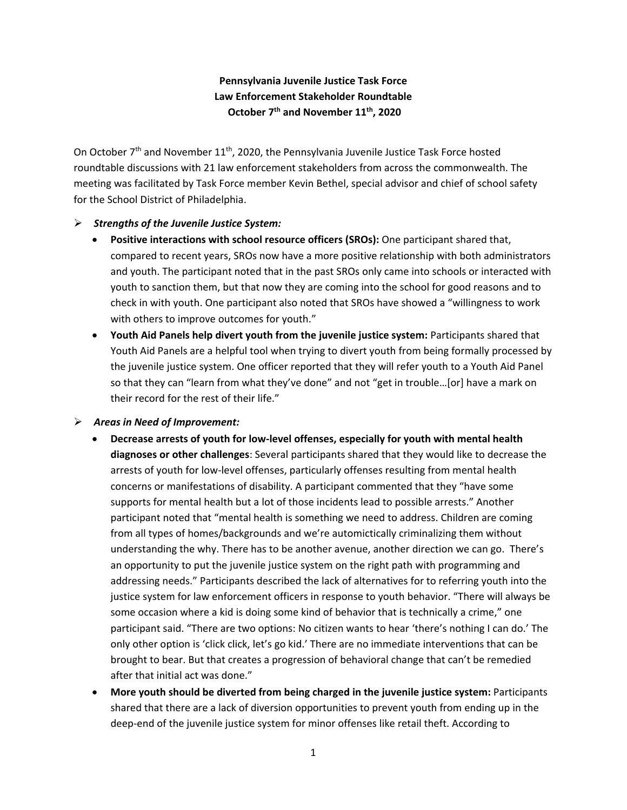## **Pennsylvania Juvenile Justice Task Force Law Enforcement Stakeholder Roundtable October 7th and November 11th, 2020**

On October  $7<sup>th</sup>$  and November 11<sup>th</sup>, 2020, the Pennsylvania Juvenile Justice Task Force hosted roundtable discussions with 21 law enforcement stakeholders from across the commonwealth. The meeting was facilitated by Task Force member Kevin Bethel, special advisor and chief of school safety for the School District of Philadelphia.

## ➢ *Strengths of the Juvenile Justice System:*

- **Positive interactions with school resource officers (SROs):** One participant shared that, compared to recent years, SROs now have a more positive relationship with both administrators and youth. The participant noted that in the past SROs only came into schools or interacted with youth to sanction them, but that now they are coming into the school for good reasons and to check in with youth. One participant also noted that SROs have showed a "willingness to work with others to improve outcomes for youth."
- **Youth Aid Panels help divert youth from the juvenile justice system:** Participants shared that Youth Aid Panels are a helpful tool when trying to divert youth from being formally processed by the juvenile justice system. One officer reported that they will refer youth to a Youth Aid Panel so that they can "learn from what they've done" and not "get in trouble…[or] have a mark on their record for the rest of their life."

## ➢ *Areas in Need of Improvement:*

- **Decrease arrests of youth for low-level offenses, especially for youth with mental health diagnoses or other challenges**: Several participants shared that they would like to decrease the arrests of youth for low-level offenses, particularly offenses resulting from mental health concerns or manifestations of disability. A participant commented that they "have some supports for mental health but a lot of those incidents lead to possible arrests." Another participant noted that "mental health is something we need to address. Children are coming from all types of homes/backgrounds and we're automictically criminalizing them without understanding the why. There has to be another avenue, another direction we can go. There's an opportunity to put the juvenile justice system on the right path with programming and addressing needs." Participants described the lack of alternatives for to referring youth into the justice system for law enforcement officers in response to youth behavior. "There will always be some occasion where a kid is doing some kind of behavior that is technically a crime," one participant said. "There are two options: No citizen wants to hear 'there's nothing I can do.' The only other option is 'click click, let's go kid.' There are no immediate interventions that can be brought to bear. But that creates a progression of behavioral change that can't be remedied after that initial act was done."
- **More youth should be diverted from being charged in the juvenile justice system:** Participants shared that there are a lack of diversion opportunities to prevent youth from ending up in the deep-end of the juvenile justice system for minor offenses like retail theft. According to